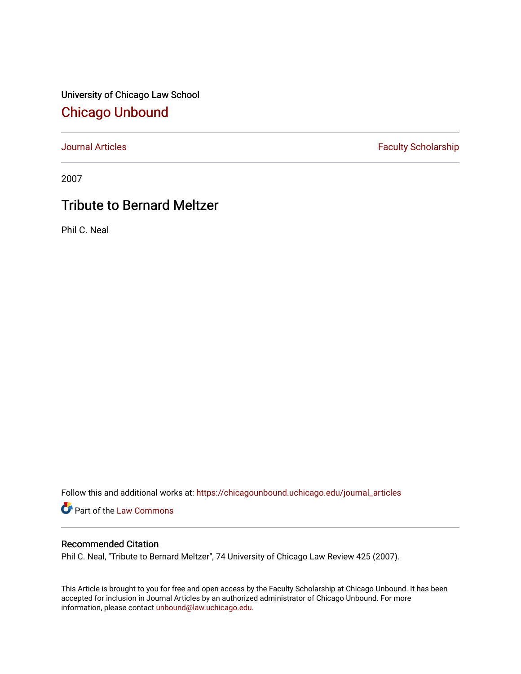University of Chicago Law School [Chicago Unbound](https://chicagounbound.uchicago.edu/)

[Journal Articles](https://chicagounbound.uchicago.edu/journal_articles) **Faculty Scholarship Faculty Scholarship** 

2007

## Tribute to Bernard Meltzer

Phil C. Neal

Follow this and additional works at: [https://chicagounbound.uchicago.edu/journal\\_articles](https://chicagounbound.uchicago.edu/journal_articles?utm_source=chicagounbound.uchicago.edu%2Fjournal_articles%2F7285&utm_medium=PDF&utm_campaign=PDFCoverPages) 

Part of the [Law Commons](http://network.bepress.com/hgg/discipline/578?utm_source=chicagounbound.uchicago.edu%2Fjournal_articles%2F7285&utm_medium=PDF&utm_campaign=PDFCoverPages)

## Recommended Citation

Phil C. Neal, "Tribute to Bernard Meltzer", 74 University of Chicago Law Review 425 (2007).

This Article is brought to you for free and open access by the Faculty Scholarship at Chicago Unbound. It has been accepted for inclusion in Journal Articles by an authorized administrator of Chicago Unbound. For more information, please contact [unbound@law.uchicago.edu](mailto:unbound@law.uchicago.edu).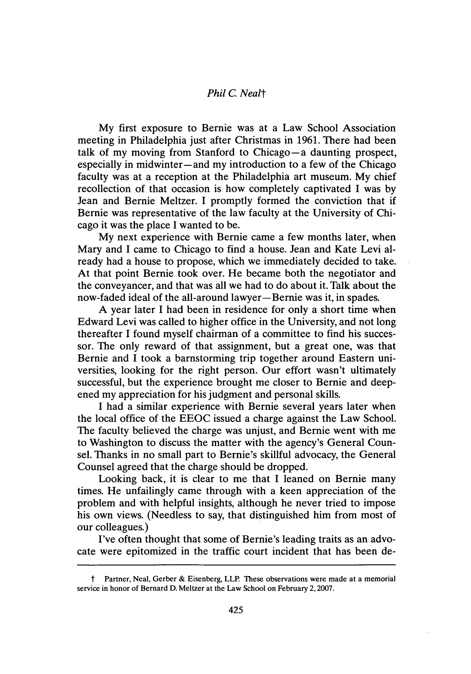## *Phil C. Nealt*

**My** first exposure to Bernie was at a Law School Association meeting in Philadelphia just after Christmas in **1961.** There had been talk of my moving from Stanford to Chicago-a daunting prospect, especially in midwinter-and my introduction to a few of the Chicago faculty was at a reception at the Philadelphia art museum. **My** chief recollection of that occasion is how completely captivated **I** was **by** Jean and Bernie Meltzer. I promptly formed the conviction that if Bernie was representative of the law faculty at the University of Chicago it was the place **I** wanted to be.

**My** next experience with Bernie came a few months later, when Mary and **I** came to Chicago to find a house. Jean and Kate Levi already had a house to propose, which we immediately decided to take. At that point Bernie took over. He became both the negotiator and the conveyancer, and that was all we had to do about it. Talk about the now-faded ideal of the all-around lawyer-Bernie was it, in spades.

**A** year later I had been in residence for only a short time when Edward Levi was called to higher office in the University, and not long thereafter **I** found myself chairman of a committee to find his successor. The only reward of that assignment, but a great one, was that Bernie and **I** took a barnstorming trip together around Eastern universities, looking for the right person. Our effort wasn't ultimately successful, but the experience brought me closer to Bernie and deepened my appreciation for his judgment and personal skills.

**I** had a similar experience with Bernie several years later when the local office of the **EEOC** issued a charge against the Law School. The faculty believed the charge was unjust, and Bernie went with me to Washington to discuss the matter with the agency's General Counsel. Thanks in no small part to Bernie's skillful advocacy, the General Counsel agreed that the charge should be dropped.

Looking back, it is clear to me that **I** leaned on Bernie many times. He unfailingly came through with a keen appreciation of the problem and with helpful insights, although he never tried to impose his own views. (Needless to say, that distinguished him from most of our colleagues.)

I've often thought that some of Bernie's leading traits as an advocate were epitomized in the traffic court incident that has been de-

t Partner, Neal, Gerber **&** Eisenberg, LLP. These observations were made at a memorial service in honor of Bernard **D.** Meltzer at the Law School on February **2, 2007.**